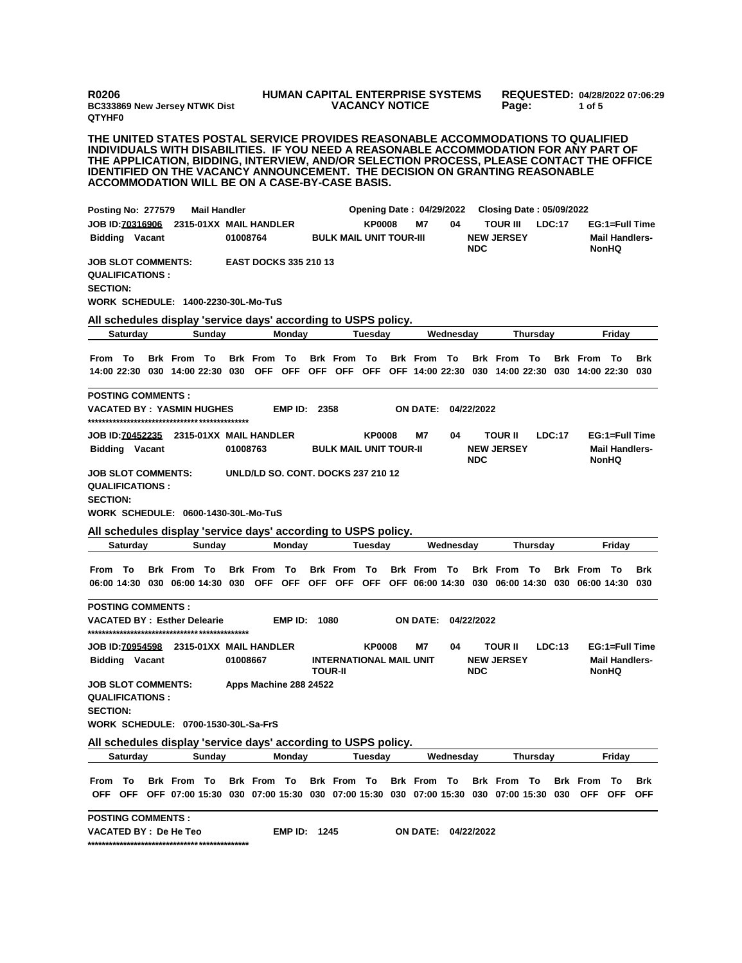**R0206 BC333869 New Jersey NTWK Dist QTYHF0**

## **HUMAN CAPITAL ENTERPRISE SYSTEMS VACANCY NOTICE**

**REQUESTED: 04/28/2022 07:06:29 Page: 1 of 5** 

**THE UNITED STATES POSTAL SERVICE PROVIDES REASONABLE ACCOMMODATIONS TO QUALIFIED INDIVIDUALS WITH DISABILITIES. IF YOU NEED A REASONABLE ACCOMMODATION FOR ANY PART OF THE APPLICATION, BIDDING, INTERVIEW, AND/OR SELECTION PROCESS, PLEASE CONTACT THE OFFICE IDENTIFIED ON THE VACANCY ANNOUNCEMENT. THE DECISION ON GRANTING REASONABLE ACCOMMODATION WILL BE ON A CASE-BY-CASE BASIS.**

| <b>Posting No: 277579</b>                                              |                                     |  |                                                                                                       | <b>Mail Handler</b> |          |                                    |                |           |                                                  |               | <b>Opening Date: 04/29/2022</b> |           |            | <b>Closing Date: 05/09/2022</b>      |          |        |                                                                                                                        |                                       |                   |
|------------------------------------------------------------------------|-------------------------------------|--|-------------------------------------------------------------------------------------------------------|---------------------|----------|------------------------------------|----------------|-----------|--------------------------------------------------|---------------|---------------------------------|-----------|------------|--------------------------------------|----------|--------|------------------------------------------------------------------------------------------------------------------------|---------------------------------------|-------------------|
| JOB ID:70316906                                                        | <b>Bidding Vacant</b>               |  |                                                                                                       |                     | 01008764 | 2315-01XX MAIL HANDLER             |                |           | <b>BULK MAIL UNIT TOUR-III</b>                   | <b>KP0008</b> | M7                              | 04        | <b>NDC</b> | <b>TOUR III</b><br><b>NEW JERSEY</b> |          | LDC:17 |                                                                                                                        | <b>Mail Handlers-</b><br>NonHQ        | EG:1=Full Time    |
| <b>JOB SLOT COMMENTS:</b><br><b>QUALIFICATIONS:</b><br><b>SECTION:</b> |                                     |  | WORK SCHEDULE: 1400-2230-30L-Mo-TuS                                                                   |                     |          | <b>EAST DOCKS 335 210 13</b>       |                |           |                                                  |               |                                 |           |            |                                      |          |        |                                                                                                                        |                                       |                   |
|                                                                        |                                     |  | All schedules display 'service days' according to USPS policy.                                        |                     |          |                                    |                |           |                                                  |               |                                 |           |            |                                      |          |        |                                                                                                                        |                                       |                   |
|                                                                        | <b>Saturday</b><br>Sunday<br>Monday |  |                                                                                                       |                     |          |                                    | Tuesdav        | Wednesdav |                                                  |               |                                 | Thursday  |            |                                      | Friday   |        |                                                                                                                        |                                       |                   |
| From To                                                                |                                     |  | <b>Brk From To</b>                                                                                    |                     |          | <b>Brk From To</b>                 |                |           | <b>Brk From To</b>                               |               | <b>Brk</b> From                 | То        |            | <b>Brk From To</b>                   |          |        | <b>Brk</b> From<br>14:00 22:30 030 14:00 22:30 030 OFF OFF OFF OFF OFF OFF 14:00 22:30 030 14:00 22:30 030 14:00 22:30 | То                                    | <b>Brk</b><br>030 |
| <b>POSTING COMMENTS :</b>                                              |                                     |  | VACATED BY : YASMIN HUGHES                                                                            |                     |          |                                    | <b>EMP ID:</b> | 2358      |                                                  |               | ON DATE:                        |           | 04/22/2022 |                                      |          |        |                                                                                                                        |                                       |                   |
|                                                                        | <b>Bidding Vacant</b>               |  | JOB ID:70452235 2315-01XX MAIL HANDLER                                                                |                     | 01008763 |                                    |                |           | <b>BULK MAIL UNIT TOUR-II</b>                    | <b>KP0008</b> | M7                              | 04        | <b>NDC</b> | <b>TOUR II</b><br><b>NEW JERSEY</b>  |          | LDC:17 |                                                                                                                        | <b>Mail Handlers-</b><br><b>NonHQ</b> | EG:1=Full Time    |
| <b>JOB SLOT COMMENTS:</b><br><b>QUALIFICATIONS:</b><br><b>SECTION:</b> |                                     |  | WORK SCHEDULE: 0600-1430-30L-Mo-TuS<br>All schedules display 'service days' according to USPS policy. |                     |          | UNLD/LD SO. CONT. DOCKS 237 210 12 |                |           |                                                  |               |                                 |           |            |                                      |          |        |                                                                                                                        |                                       |                   |
|                                                                        | Saturday                            |  |                                                                                                       | Sunday              |          |                                    | Monday         |           |                                                  | Tuesdav       |                                 | Wednesday |            |                                      | Thursday |        |                                                                                                                        | Fridav                                |                   |
| From To                                                                |                                     |  | <b>Brk From To</b>                                                                                    |                     |          | <b>Brk From To</b>                 |                |           | <b>Brk From To</b>                               |               | <b>Brk From To</b>              |           |            | <b>Brk From To</b>                   |          |        | <b>Brk</b> From<br>06:00 14:30 030 06:00 14:30 030 OFF OFF OFF OFF OFF OFF 06:00 14:30 030 06:00 14:30 030 06:00 14:30 | То                                    | <b>Brk</b><br>030 |
| <b>POSTING COMMENTS:</b>                                               |                                     |  |                                                                                                       |                     |          |                                    |                |           |                                                  |               |                                 |           |            |                                      |          |        |                                                                                                                        |                                       |                   |
|                                                                        |                                     |  | VACATED BY: Esther Delearie                                                                           |                     |          |                                    | EMP ID:        | 1080      |                                                  |               | ON DATE: 04/22/2022             |           |            |                                      |          |        |                                                                                                                        |                                       |                   |
| <b>JOB ID:70954598</b>                                                 | <b>Bidding Vacant</b>               |  | 2315-01XX MAIL HANDLER                                                                                |                     | 01008667 |                                    |                |           | <b>INTERNATIONAL MAIL UNIT</b><br><b>TOUR-II</b> | <b>KP0008</b> | Μ7                              | 04        | <b>NDC</b> | TOUR II<br><b>NEW JERSEY</b>         |          | LDC:13 |                                                                                                                        | <b>Mail Handlers-</b><br><b>NonHQ</b> | EG:1=Full Time    |
| <b>JOB SLOT COMMENTS:</b><br><b>QUALIFICATIONS:</b><br><b>SECTION:</b> |                                     |  | WORK SCHEDULE: 0700-1530-30L-Sa-FrS                                                                   |                     |          | Apps Machine 288 24522             |                |           |                                                  |               |                                 |           |            |                                      |          |        |                                                                                                                        |                                       |                   |
|                                                                        |                                     |  | All schedules display 'service days' according to USPS policy.                                        |                     |          |                                    |                |           |                                                  |               |                                 |           |            |                                      |          |        |                                                                                                                        |                                       |                   |
|                                                                        | <b>Saturday</b>                     |  |                                                                                                       | Sunday              |          |                                    | Monday         |           |                                                  | Tuesday       |                                 | Wednesday |            |                                      | Thursday |        |                                                                                                                        | Friday                                |                   |
| From To                                                                |                                     |  | Brk From To                                                                                           |                     |          | Brk From To Brk From To            |                |           |                                                  |               |                                 |           |            | Brk From To Brk From To              |          |        | <b>Brk</b> From                                                                                                        | - To                                  | Brk               |
|                                                                        |                                     |  |                                                                                                       |                     |          |                                    |                |           |                                                  |               |                                 |           |            |                                      |          |        | OFF OFF OFF 07:00 15:30 030 07:00 15:30 030 07:00 15:30 030 07:00 15:30 030 07:00 15:30 030 OFF OFF                    |                                       | <b>OFF</b>        |
| <b>POSTING COMMENTS :</b>                                              |                                     |  |                                                                                                       |                     |          |                                    |                |           |                                                  |               |                                 |           |            |                                      |          |        |                                                                                                                        |                                       |                   |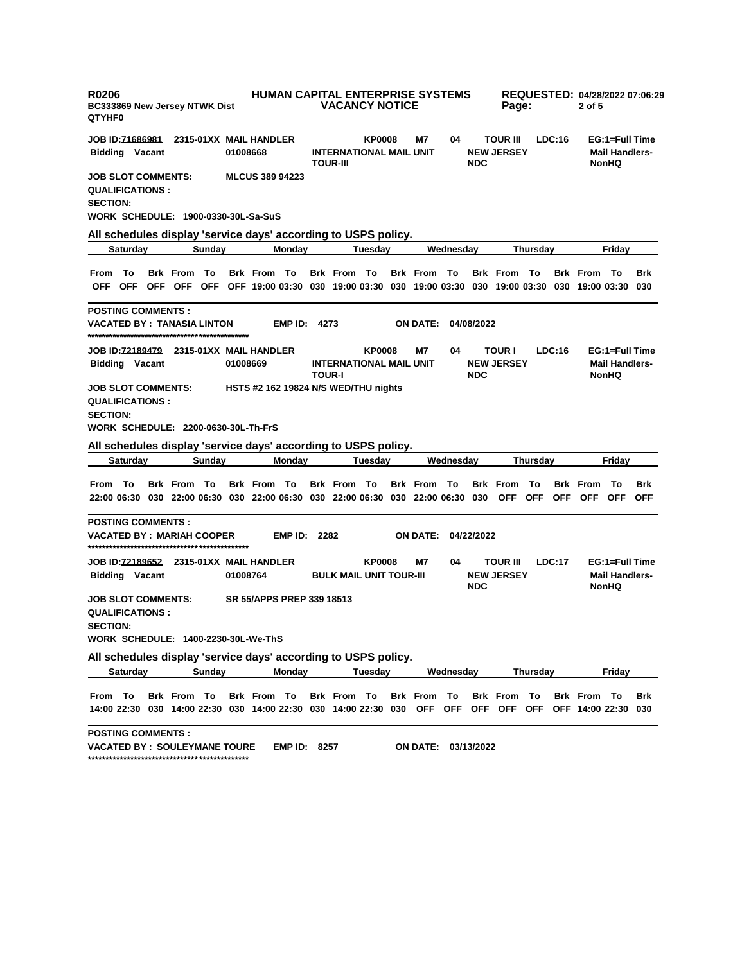| <b>R0206</b><br><b>BC333869 New Jersey NTWK Dist</b><br>QTYHF0                                                                                                           |                    | <b>HUMAN CAPITAL ENTERPRISE SYSTEMS</b><br><b>VACANCY NOTICE</b><br>Page: |                     |                                                   |               |  |                     |           |            |                                      |                 |        | REQUESTED: 04/28/2022 07:06:29<br>2 of 5 |                                                         |            |  |
|--------------------------------------------------------------------------------------------------------------------------------------------------------------------------|--------------------|---------------------------------------------------------------------------|---------------------|---------------------------------------------------|---------------|--|---------------------|-----------|------------|--------------------------------------|-----------------|--------|------------------------------------------|---------------------------------------------------------|------------|--|
| JOB ID: <u>71686981</u><br><b>Bidding Vacant</b>                                                                                                                         |                    | 2315-01XX MAIL HANDLER<br>01008668                                        |                     | <b>INTERNATIONAL MAIL UNIT</b><br><b>TOUR-III</b> | <b>KP0008</b> |  | M7                  | 04        | <b>NDC</b> | <b>TOUR III</b><br><b>NEW JERSEY</b> |                 | LDC:16 |                                          | EG:1=Full Time<br><b>Mail Handlers-</b><br><b>NonHQ</b> |            |  |
| <b>JOB SLOT COMMENTS:</b><br><b>QUALIFICATIONS :</b><br><b>SECTION:</b><br>WORK SCHEDULE: 1900-0330-30L-Sa-SuS                                                           |                    | <b>MLCUS 389 94223</b>                                                    |                     |                                                   |               |  |                     |           |            |                                      |                 |        |                                          |                                                         |            |  |
| All schedules display 'service days' according to USPS policy.                                                                                                           |                    |                                                                           |                     |                                                   |               |  |                     |           |            |                                      |                 |        |                                          |                                                         |            |  |
| <b>Saturday</b>                                                                                                                                                          | Sunday             | Monday                                                                    |                     |                                                   | Tuesday       |  |                     | Wednesday |            |                                      | Thursday        |        |                                          | Friday                                                  |            |  |
| From To<br>OFF OFF OFF OFF OFF OFF 19:00 03:30 030 19:00 03:30 030 19:00 03:30 030 19:00 03:30 030 19:00 03:30 030                                                       | <b>Brk From To</b> | <b>Brk From To</b>                                                        |                     | Brk From To                                       |               |  | Brk From To         |           |            | <b>Brk From To</b>                   |                 |        | <b>Brk From To</b>                       |                                                         | <b>Brk</b> |  |
| <b>POSTING COMMENTS :</b><br>VACATED BY : TANASIA LINTON                                                                                                                 |                    | EMP ID:                                                                   | 4273                |                                                   |               |  | <b>ON DATE:</b>     |           | 04/08/2022 |                                      |                 |        |                                          |                                                         |            |  |
| <b>Bidding Vacant</b>                                                                                                                                                    |                    | 01008669                                                                  |                     | <b>INTERNATIONAL MAIL UNIT</b><br><b>TOUR-I</b>   | <b>KP0008</b> |  | M7                  | 04        | <b>NDC</b> | <b>TOUR I</b><br><b>NEW JERSEY</b>   |                 | LDC:16 |                                          | EG:1=Full Time<br><b>Mail Handlers-</b><br><b>NonHQ</b> |            |  |
| JOB SLOT COMMENTS:<br><b>QUALIFICATIONS:</b><br><b>SECTION:</b><br>WORK SCHEDULE: 2200-0630-30L-Th-FrS<br>All schedules display 'service days' according to USPS policy. |                    | HSTS #2 162 19824 N/S WED/THU nights                                      |                     |                                                   |               |  |                     |           |            |                                      |                 |        |                                          |                                                         |            |  |
| Saturday                                                                                                                                                                 | Sunday             | Monday                                                                    |                     |                                                   | Tuesday       |  |                     | Wednesday |            |                                      | Thursday        |        |                                          | Friday                                                  |            |  |
| From To<br>22:00 06:30 030 22:00 06:30 030 22:00 06:30 030 22:00 06:30 030 22:00 06:30 030 OFF OFF OFF OFF OFF OFF OFF                                                   | <b>Brk From To</b> | <b>Brk From To</b>                                                        |                     | <b>Brk From To</b>                                |               |  | <b>Brk From To</b>  |           |            | <b>Brk From To</b>                   |                 |        | <b>Brk From To</b>                       |                                                         | Brk        |  |
| <b>POSTING COMMENTS :</b><br>VACATED BY : MARIAH COOPER                                                                                                                  |                    |                                                                           | <b>EMP ID: 2282</b> |                                                   |               |  | ON DATE:            |           | 04/22/2022 |                                      |                 |        |                                          |                                                         |            |  |
| JOB ID: <u>72189652</u><br><b>Bidding Vacant</b>                                                                                                                         |                    | 2315-01XX MAIL HANDLER<br>01008764                                        |                     | <b>BULK MAIL UNIT TOUR-III</b>                    | <b>KP0008</b> |  | M7                  | 04        | <b>NDC</b> | <b>TOUR III</b><br><b>NEW JERSEY</b> |                 | LDC:17 |                                          | EG:1=Full Time<br><b>Mail Handlers-</b><br><b>NonHQ</b> |            |  |
| JOB SLOT COMMENTS:<br><b>QUALIFICATIONS :</b><br><b>SECTION:</b><br>WORK SCHEDULE: 1400-2230-30L-We-ThS                                                                  |                    | SR 55/APPS PREP 339 18513                                                 |                     |                                                   |               |  |                     |           |            |                                      |                 |        |                                          |                                                         |            |  |
| All schedules display 'service days' according to USPS policy.                                                                                                           |                    |                                                                           |                     |                                                   |               |  |                     |           |            |                                      |                 |        |                                          |                                                         |            |  |
| <b>Saturday</b>                                                                                                                                                          | Sunday             | Monday                                                                    |                     |                                                   | Tuesday       |  |                     | Wednesday |            |                                      | <b>Thursday</b> |        |                                          | Friday                                                  |            |  |
| From To<br>14:00 22:30 030 14:00 22:30 030 14:00 22:30 030 14:00 22:30 030 OFF OFF OFF OFF OFF OFF 14:00 22:30 030                                                       | Brk From To        | Brk From To                                                               |                     | Brk From To                                       |               |  | <b>Brk From To</b>  |           |            | <b>Brk From To</b>                   |                 |        | Brk From To                              |                                                         | Brk        |  |
| <b>POSTING COMMENTS :</b><br><b>VACATED BY : SOULEYMANE TOURE</b>                                                                                                        |                    |                                                                           | <b>EMP ID: 8257</b> |                                                   |               |  | ON DATE: 03/13/2022 |           |            |                                      |                 |        |                                          |                                                         |            |  |

**\*\*\*\*\*\*\*\*\*\*\*\*\*\*\*\*\*\*\*\*\*\*\*\*\*\*\*\*\*\*\*\*\*\*\*\*\*\*\*\*\*\*\*\*\***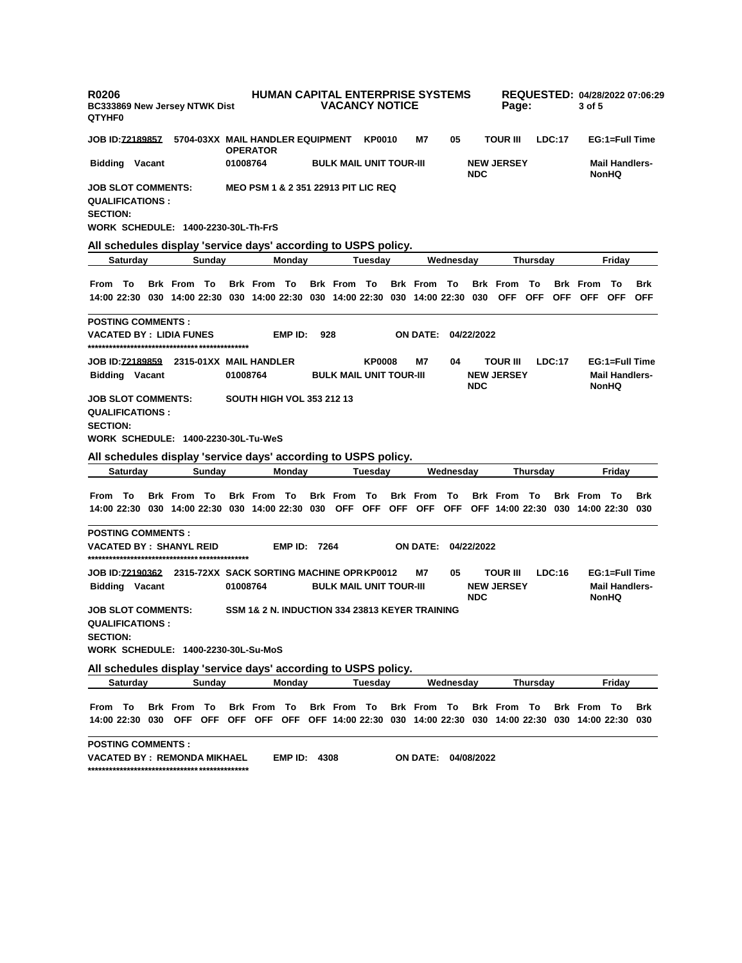| <b>R0206</b><br>BC333869 New Jersey NTWK Dist<br><b>QTYHF0</b>                                                       |                    |        | <b>HUMAN CAPITAL ENTERPRISE SYSTEMS</b><br><b>VACANCY NOTICE</b><br>Page: |                    |                                                |         |                                |               |  |                            |           | REQUESTED: 04/28/2022 07:06:29<br>3 of 5 |                                      |                  |        |                                       |                                                         |                          |  |
|----------------------------------------------------------------------------------------------------------------------|--------------------|--------|---------------------------------------------------------------------------|--------------------|------------------------------------------------|---------|--------------------------------|---------------|--|----------------------------|-----------|------------------------------------------|--------------------------------------|------------------|--------|---------------------------------------|---------------------------------------------------------|--------------------------|--|
| <b>JOB ID:<u>72189857</u></b>                                                                                        |                    |        |                                                                           | <b>OPERATOR</b>    | 5704-03XX MAIL HANDLER EQUIPMENT               |         |                                | KP0010        |  | M7                         | 05        |                                          | <b>TOUR III</b>                      |                  | LDC:17 |                                       | EG:1=Full Time                                          |                          |  |
| <b>Bidding Vacant</b>                                                                                                |                    |        | 01008764                                                                  |                    |                                                |         | <b>BULK MAIL UNIT TOUR-III</b> |               |  |                            |           | <b>NDC</b>                               | <b>NEW JERSEY</b>                    |                  |        | <b>Mail Handlers-</b><br><b>NonHQ</b> |                                                         |                          |  |
| <b>JOB SLOT COMMENTS:</b><br><b>QUALIFICATIONS:</b><br><b>SECTION:</b><br><b>WORK SCHEDULE: 1400-2230-30L-Th-FrS</b> |                    |        |                                                                           |                    | <b>MEO PSM 1 &amp; 2 351 22913 PIT LIC REQ</b> |         |                                |               |  |                            |           |                                          |                                      |                  |        |                                       |                                                         |                          |  |
| All schedules display 'service days' according to USPS policy.                                                       |                    |        |                                                                           |                    |                                                |         |                                |               |  |                            |           |                                          |                                      |                  |        |                                       |                                                         |                          |  |
| Saturday                                                                                                             |                    | Sunday |                                                                           |                    | Monday                                         | Tuesday |                                |               |  | Wednesday                  |           |                                          | Thursday                             |                  |        | Friday                                |                                                         |                          |  |
| From To<br>14:00 22:30 030 14:00 22:30 030 14:00 22:30 030 14:00 22:30 030 14:00 22:30 030                           | <b>Brk From To</b> |        |                                                                           | <b>Brk From To</b> |                                                |         | <b>Brk From To</b>             |               |  | <b>Brk From To</b>         |           |                                          | <b>Brk</b> From<br><b>OFF</b>        | To<br><b>OFF</b> |        | <b>Brk</b> From<br>OFF OFF OFF        | – То                                                    | <b>Brk</b><br><b>OFF</b> |  |
| <b>POSTING COMMENTS:</b><br><b>VACATED BY : LIDIA FUNES</b>                                                          |                    |        |                                                                           |                    | EMP ID:                                        | 928     |                                |               |  | ON DATE: 04/22/2022        |           |                                          |                                      |                  |        |                                       |                                                         |                          |  |
| <b>Bidding Vacant</b>                                                                                                |                    |        | 01008764                                                                  |                    |                                                |         | <b>BULK MAIL UNIT TOUR-III</b> | <b>KP0008</b> |  | M7                         | 04        | <b>NDC</b>                               | <b>TOUR III</b><br><b>NEW JERSEY</b> |                  | LDC:17 |                                       | EG:1=Full Time<br><b>Mail Handlers-</b><br><b>NonHQ</b> |                          |  |
| <b>JOB SLOT COMMENTS:</b><br><b>QUALIFICATIONS:</b><br><b>SECTION:</b><br>WORK SCHEDULE: 1400-2230-30L-Tu-WeS        |                    |        |                                                                           |                    | <b>SOUTH HIGH VOL 353 212 13</b>               |         |                                |               |  |                            |           |                                          |                                      |                  |        |                                       |                                                         |                          |  |
| All schedules display 'service days' according to USPS policy.                                                       |                    |        |                                                                           |                    |                                                |         |                                |               |  |                            |           |                                          |                                      |                  |        |                                       |                                                         |                          |  |
| <b>Saturday</b>                                                                                                      |                    | Sunday |                                                                           |                    | Monday                                         |         |                                | Tuesday       |  |                            | Wednesday |                                          |                                      | Thursday         |        |                                       | Friday                                                  |                          |  |
| From To                                                                                                              |                    |        |                                                                           | <b>Brk From To</b> |                                                |         |                                |               |  |                            |           |                                          |                                      |                  |        |                                       |                                                         | Brk                      |  |
| 14:00 22:30 030 14:00 22:30 030 14:00 22:30 030 OFF OFF OFF OFF OFF OFF 14:00 22:30 030 14:00 22:30 030              | <b>Brk From To</b> |        |                                                                           |                    |                                                |         | <b>Brk</b> From                | - To          |  | <b>Brk</b> From            | То        |                                          | <b>Brk From To</b>                   |                  |        | <b>Brk From To</b>                    |                                                         |                          |  |
| <b>POSTING COMMENTS :</b><br><b>VACATED BY : SHANYL REID</b>                                                         |                    |        |                                                                           |                    | <b>EMP ID: 7264</b>                            |         |                                |               |  | <b>ON DATE: 04/22/2022</b> |           |                                          |                                      |                  |        |                                       |                                                         |                          |  |
| JOB ID:72190362 2315-72XX SACK SORTING MACHINE OPR KP0012<br><b>Bidding Vacant</b>                                   |                    |        | 01008764                                                                  |                    |                                                |         | <b>BULK MAIL UNIT TOUR-III</b> |               |  | M7                         | 05        |                                          | TOUR III<br><b>NEW JERSEY</b>        |                  | LDC:16 |                                       | EG:1=Full Time<br><b>Mail Handlers-</b>                 |                          |  |
| <b>JOB SLOT COMMENTS:</b><br><b>QUALIFICATIONS:</b><br><b>SECTION:</b><br>WORK SCHEDULE: 1400-2230-30L-Su-MoS        |                    |        |                                                                           |                    | SSM 1& 2 N. INDUCTION 334 23813 KEYER TRAINING |         |                                |               |  |                            |           | <b>NDC</b>                               |                                      |                  |        |                                       | <b>NonHQ</b>                                            |                          |  |
|                                                                                                                      |                    |        |                                                                           |                    |                                                |         |                                |               |  |                            |           |                                          |                                      |                  |        |                                       |                                                         |                          |  |
| All schedules display 'service days' according to USPS policy.<br>Saturday                                           |                    | Sunday |                                                                           |                    | Mondav                                         |         |                                | Tuesday       |  |                            | Wednesday |                                          |                                      | Thursday         |        |                                       | Fridav                                                  |                          |  |
| From To<br>14:00 22:30 030 OFF OFF OFF OFF OFF OFF 14:00 22:30 030 14:00 22:30 030 14:00 22:30 030 14:00 22:30 030   | <b>Brk From To</b> |        |                                                                           | <b>Brk From To</b> |                                                |         | Brk From To                    |               |  | Brk From To                |           |                                          | <b>Brk From To</b>                   |                  |        | <b>Brk From To</b>                    |                                                         | Brk                      |  |

**VACATED BY : REMONDA MIKHAEL EMP ID: 4308 ON DATE: 04/08/2022 \*\*\*\*\*\*\*\*\*\*\*\*\*\*\*\*\*\*\*\*\*\*\*\*\*\*\*\*\*\*\*\*\*\*\*\*\*\*\*\*\*\*\*\*\***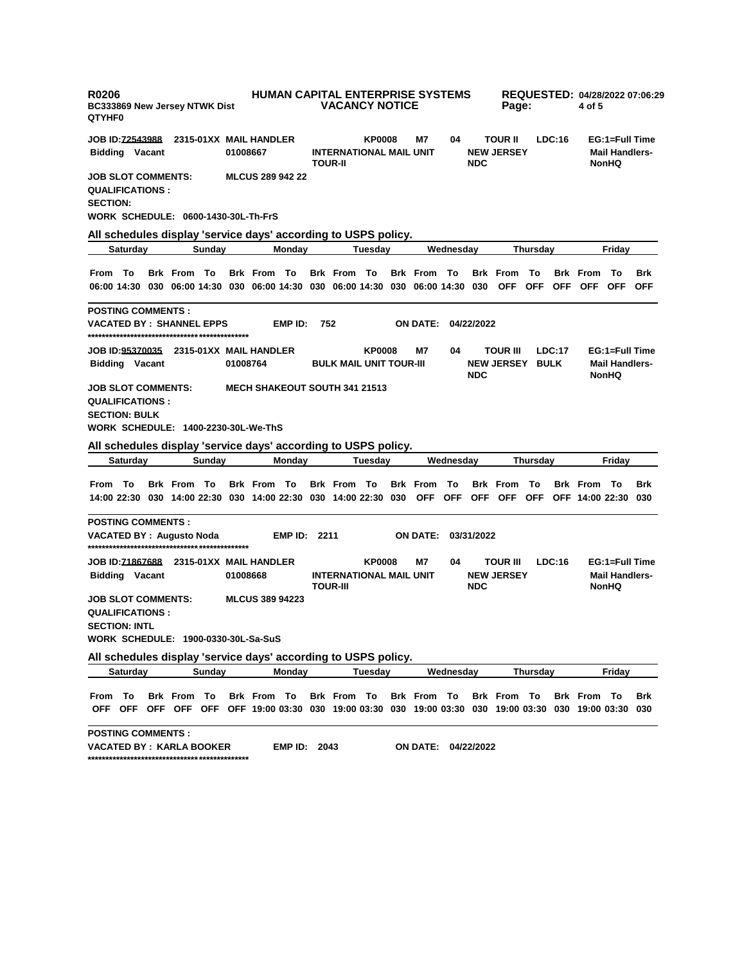| <b>R0206</b><br><b>BC333869 New Jersey NTWK Dist</b><br>QTYHF0                                                                    | <b>HUMAN CAPITAL ENTERPRISE SYSTEMS</b><br><b>VACANCY NOTICE</b> | Page:                                                              | REQUESTED: 04/28/2022 07:06:29<br>4 of 5 |                                                     |                                                         |  |  |
|-----------------------------------------------------------------------------------------------------------------------------------|------------------------------------------------------------------|--------------------------------------------------------------------|------------------------------------------|-----------------------------------------------------|---------------------------------------------------------|--|--|
| JOB ID: <u>72543988</u><br>2315-01XX MAIL HANDLER                                                                                 |                                                                  | <b>KP0008</b>                                                      | M7<br>04                                 | LDC:16<br><b>TOUR II</b>                            | EG:1=Full Time                                          |  |  |
| <b>Bidding Vacant</b>                                                                                                             | 01008667                                                         | <b>INTERNATIONAL MAIL UNIT</b><br><b>TOUR-II</b>                   | <b>NDC</b>                               | <b>NEW JERSEY</b>                                   | <b>Mail Handlers-</b><br><b>NonHQ</b>                   |  |  |
| JOB SLOT COMMENTS:<br><b>QUALIFICATIONS :</b><br><b>SECTION:</b><br>WORK SCHEDULE: 0600-1430-30L-Th-FrS                           | <b>MLCUS 289 942 22</b>                                          |                                                                    |                                          |                                                     |                                                         |  |  |
| All schedules display 'service days' according to USPS policy.                                                                    |                                                                  |                                                                    |                                          |                                                     |                                                         |  |  |
| Sunday<br>Saturday                                                                                                                | Monday                                                           | Tuesday                                                            | Wednesday                                | Thursday                                            | Friday                                                  |  |  |
| <b>Brk From To</b><br>From To<br>06:00 14:30 030 06:00 14:30 030 06:00 14:30 030 06:00 14:30 030 06:00 14:30 030                  | <b>Brk From To</b>                                               | <b>Brk From To</b>                                                 | <b>Brk From To</b>                       | <b>Brk</b> From<br>- To<br>OFF OFF OFF OFF OFF      | <b>Brk From To</b><br><b>Brk</b><br>OFF                 |  |  |
| <b>POSTING COMMENTS :</b><br>VACATED BY :  SHANNEL EPPS                                                                           | EMP ID:                                                          | 752                                                                | <b>ON DATE:</b><br>04/22/2022            |                                                     |                                                         |  |  |
| JOB ID: <u>95370035</u> 2315-01XX MAIL HANDLER<br><b>Bidding Vacant</b>                                                           | 01008764                                                         | <b>KP0008</b><br><b>BULK MAIL UNIT TOUR-III</b>                    | M7<br>04<br><b>NDC</b>                   | <b>TOUR III</b><br>LDC:17<br><b>NEW JERSEY BULK</b> | EG:1=Full Time<br><b>Mail Handlers-</b><br><b>NonHQ</b> |  |  |
| JOB SLOT COMMENTS:<br><b>QUALIFICATIONS :</b><br><b>SECTION: BULK</b><br>WORK SCHEDULE: 1400-2230-30L-We-ThS                      | <b>MECH SHAKEOUT SOUTH 341 21513</b>                             |                                                                    |                                          |                                                     |                                                         |  |  |
| All schedules display 'service days' according to USPS policy.<br>Saturday<br>Sunday                                              | Mondav                                                           | Tuesday                                                            | Wednesday                                | Thursday                                            | Friday                                                  |  |  |
|                                                                                                                                   |                                                                  |                                                                    |                                          |                                                     |                                                         |  |  |
| From To<br>Brk From To<br>14:00 22:30 030 14:00 22:30 030 14:00 22:30 030 14:00 22:30 030 OFF OFF OFF OFF OFF OFF 14:00 22:30 030 | <b>Brk From To</b>                                               | <b>Brk From To</b><br><b>Brk</b> From                              | То                                       | <b>Brk From To</b>                                  | <b>Brk From To</b><br><b>Brk</b>                        |  |  |
| <b>POSTING COMMENTS :</b><br>VACATED BY : Augusto Noda                                                                            | <b>EMP ID: 2211</b>                                              |                                                                    | ON DATE:<br>03/31/2022                   |                                                     |                                                         |  |  |
| JOB ID:71867688<br>2315-01XX MAIL HANDLER<br><b>Bidding Vacant</b>                                                                | 01008668                                                         | <b>KP0008</b><br><b>INTERNATIONAL MAIL UNIT</b><br><b>TOUR-III</b> | M7<br>04<br><b>NDC</b>                   | <b>TOUR III</b><br>LDC:16<br><b>NEW JERSEY</b>      | EG:1=Full Time<br><b>Mail Handlers-</b><br><b>NonHQ</b> |  |  |
| JOB SLOT COMMENTS:<br><b>QUALIFICATIONS :</b><br><b>SECTION: INTL</b><br>WORK SCHEDULE: 1900-0330-30L-Sa-SuS                      | <b>MLCUS 389 94223</b>                                           |                                                                    |                                          |                                                     |                                                         |  |  |
| All schedules display 'service days' according to USPS policy.                                                                    |                                                                  |                                                                    |                                          |                                                     |                                                         |  |  |
| <b>Saturday</b><br>Sunday                                                                                                         | Monday                                                           | Tuesday                                                            | Wednesday                                | <b>Thursday</b>                                     | Friday                                                  |  |  |
| From To<br>Brk From To<br>OFF OFF OFF OFF OFF OFF 19:00 03:30 030 19:00 03:30 030 19:00 03:30 030 19:00 03:30 030 19:00 03:30 030 | Brk From To                                                      | Brk From To                                                        | Brk From To                              | Brk From To                                         | <b>Brk From To</b><br>Brk                               |  |  |
| <b>POSTING COMMENTS :</b><br>VACATED BY : KARLA BOOKER                                                                            | <b>EMP ID: 2043</b>                                              |                                                                    | ON DATE: 04/22/2022                      |                                                     |                                                         |  |  |

**\*\*\*\*\*\*\*\*\*\*\*\*\*\*\*\*\*\*\*\*\*\*\*\*\*\*\*\*\*\*\*\*\*\*\*\*\*\*\*\*\*\*\*\*\***